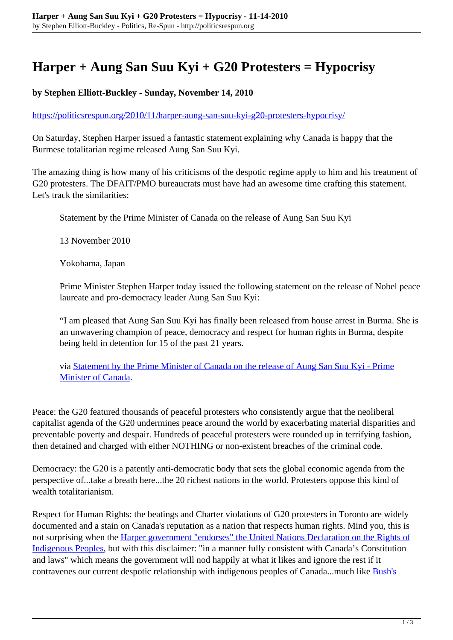## **Harper + Aung San Suu Kyi + G20 Protesters = Hypocrisy**

## **by Stephen Elliott-Buckley - Sunday, November 14, 2010**

<https://politicsrespun.org/2010/11/harper-aung-san-suu-kyi-g20-protesters-hypocrisy/>

On Saturday, Stephen Harper issued a fantastic statement explaining why Canada is happy that the Burmese totalitarian regime released Aung San Suu Kyi.

The amazing thing is how many of his criticisms of the despotic regime apply to him and his treatment of G20 protesters. The DFAIT/PMO bureaucrats must have had an awesome time crafting this statement. Let's track the similarities:

Statement by the Prime Minister of Canada on the release of Aung San Suu Kyi

13 November 2010

Yokohama, Japan

Prime Minister Stephen Harper today issued the following statement on the release of Nobel peace laureate and pro-democracy leader Aung San Suu Kyi:

"I am pleased that Aung San Suu Kyi has finally been released from house arrest in Burma. She is an unwavering champion of peace, democracy and respect for human rights in Burma, despite being held in detention for 15 of the past 21 years.

via [Statement by the Prime Minister of Canada on the release of Aung San Suu Kyi - Prime](http://www.pm.gc.ca/eng/media.asp?category=3&featureId=6&pageId=49&id=3784) [Minister of Canada](http://www.pm.gc.ca/eng/media.asp?category=3&featureId=6&pageId=49&id=3784).

Peace: the G20 featured thousands of peaceful protesters who consistently argue that the neoliberal capitalist agenda of the G20 undermines peace around the world by exacerbating material disparities and preventable poverty and despair. Hundreds of peaceful protesters were rounded up in terrifying fashion, then detained and charged with either NOTHING or non-existent breaches of the criminal code.

Democracy: the G20 is a patently anti-democratic body that sets the global economic agenda from the perspective of...take a breath here...the 20 richest nations in the world. Protesters oppose this kind of wealth totalitarianism.

Respect for Human Rights: the beatings and Charter violations of G20 protesters in Toronto are widely documented and a stain on Canada's reputation as a nation that respects human rights. Mind you, this is not surprising when the [Harper government "endorses" the United Nations Declaration on the Rights of](http://www.international.gc.ca/media/aff/news-communiques/2010/361.aspx?lang=eng) [Indigenous Peoples](http://www.international.gc.ca/media/aff/news-communiques/2010/361.aspx?lang=eng), but with this disclaimer: "in a manner fully consistent with Canada's Constitution and laws" which means the government will nod happily at what it likes and ignore the rest if it contravenes our current despotic relationship with indigenous peoples of Canada...much like [Bush's](http://articles.latimes.com/2009/mar/10/nation/na-signing-statements10)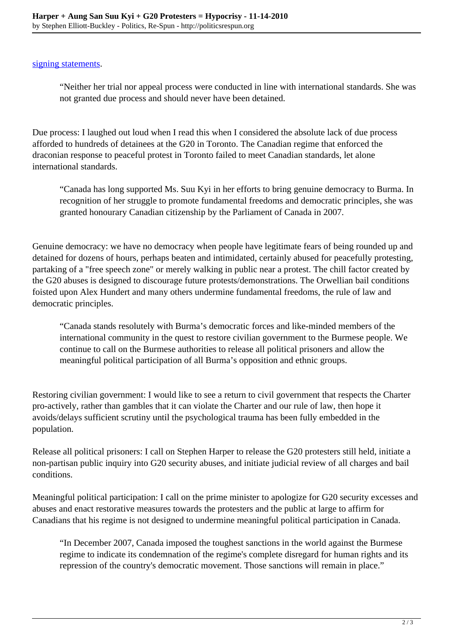[signing statements.](http://articles.latimes.com/2009/mar/10/nation/na-signing-statements10)

"Neither her trial nor appeal process were conducted in line with international standards. She was not granted due process and should never have been detained.

Due process: I laughed out loud when I read this when I considered the absolute lack of due process afforded to hundreds of detainees at the G20 in Toronto. The Canadian regime that enforced the draconian response to peaceful protest in Toronto failed to meet Canadian standards, let alone international standards.

"Canada has long supported Ms. Suu Kyi in her efforts to bring genuine democracy to Burma. In recognition of her struggle to promote fundamental freedoms and democratic principles, she was granted honourary Canadian citizenship by the Parliament of Canada in 2007.

Genuine democracy: we have no democracy when people have legitimate fears of being rounded up and detained for dozens of hours, perhaps beaten and intimidated, certainly abused for peacefully protesting, partaking of a "free speech zone" or merely walking in public near a protest. The chill factor created by the G20 abuses is designed to discourage future protests/demonstrations. The Orwellian bail conditions foisted upon Alex Hundert and many others undermine fundamental freedoms, the rule of law and democratic principles.

"Canada stands resolutely with Burma's democratic forces and like-minded members of the international community in the quest to restore civilian government to the Burmese people. We continue to call on the Burmese authorities to release all political prisoners and allow the meaningful political participation of all Burma's opposition and ethnic groups.

Restoring civilian government: I would like to see a return to civil government that respects the Charter pro-actively, rather than gambles that it can violate the Charter and our rule of law, then hope it avoids/delays sufficient scrutiny until the psychological trauma has been fully embedded in the population.

Release all political prisoners: I call on Stephen Harper to release the G20 protesters still held, initiate a non-partisan public inquiry into G20 security abuses, and initiate judicial review of all charges and bail conditions.

Meaningful political participation: I call on the prime minister to apologize for G20 security excesses and abuses and enact restorative measures towards the protesters and the public at large to affirm for Canadians that his regime is not designed to undermine meaningful political participation in Canada.

"In December 2007, Canada imposed the toughest sanctions in the world against the Burmese regime to indicate its condemnation of the regime's complete disregard for human rights and its repression of the country's democratic movement. Those sanctions will remain in place."